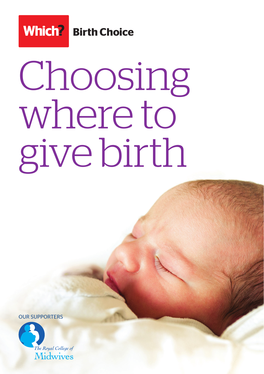

# Choosing where to give birth

OUR SUPPORTERS

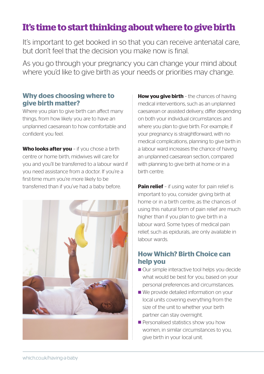## **It's time to start thinking about where to give birth**

It's important to get booked in so that you can receive antenatal care, but don't feel that the decision you make now is final.

As you go through your pregnancy you can change your mind about where you'd like to give birth as your needs or priorities may change.

### **Why does choosing where to give birth matter?**

Where you plan to give birth can affect many things, from how likely you are to have an unplanned caesarean to how comfortable and confident you feel.

**Who looks after you - if you chose a birth** centre or home birth, midwives will care for you and you'll be transferred to a labour ward if you need assistance from a doctor. If you're a first-time mum you're more likely to be transferred than if you've had a baby before.



**How you give birth** - the chances of having medical interventions, such as an unplanned caesarean or assisted delivery, differ depending on both your individual circumstances and where you plan to give birth. For example, if your pregnancy is straightforward, with no medical complications, planning to give birth in a labour ward increases the chance of having an unplanned caesarean section, compared with planning to give birth at home or in a birth centre.

**Pain relief** – if using water for pain relief is important to you, consider giving birth at home or in a birth centre, as the chances of using this natural form of pain relief are much higher than if you plan to give birth in a labour ward. Some types of medical pain relief, such as epidurals, are only available in labour wards.

## **How Which? Birth Choice can help you**

- Our simple interactive tool helps you decide what would be best for you, based on your personal preferences and circumstances.
- We provide detailed information on your local units covering everything from the size of the unit to whether your birth partner can stay overnight.
- Personalised statistics show you how women, in similar circumstances to you, give birth in your local unit.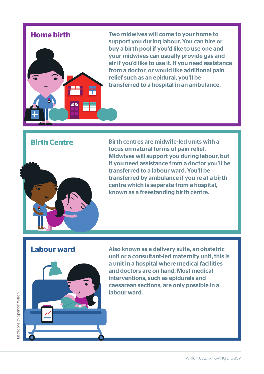

**Home birth** Two midwives will come to your home to support you during labour. You can hire or buy a birth pool if you'd like to use one and your midwives can usually provide gas and air if you'd like to use it. If you need assistance from a doctor, or would like additional pain relief such as an epidural, you'll be transferred to a hospital in an ambulance.

## **Birth Centre**



Birth centres are midwife-led units with a focus on natural forms of pain relief. Midwives will support you during labour, but if you need assistance from a doctor you'll be transferred to a labour ward. You'll be transferred by ambulance if you're at a birth centre which is separate from a hospital, known as a freestanding birth centre.

## **Labour ward**



Also known as a delivery suite, an obstetric unit or a consultant-led maternity unit, this is a unit in a hospital where medical facilities and doctors are on hand. Most medical interventions, such as epidurals and caesarean sections, are only possible in a labour ward.